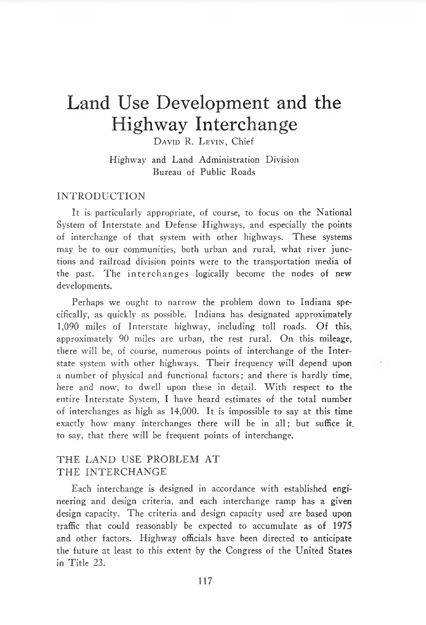# Land Use Development and the Highway Interchange

**D avid** R. **Levin,** Chief

Highway and Land Administration Division Bureau of Public Roads

#### IN TRODUCTION

It is particularly appropriate, of course, to focus on the National System of Interstate and Defense Highways, and especially the points of interchange of that system with other highways. These systems may be to our communities, both urban and rural, what river junctions and railroad division points were to the transportation media of the past. The interchanges logically become the nodes of new developments.

Perhaps we ought to narrow the problem down to Indiana specifically, as quickly as possible. Indiana has designated approximately 1,090 miles of Interstate highway, including toll roads. Of this, approximately 90 miles are urban, the rest rural. On this mileage, there will be, of course, numerous points of interchange of the Interstate system with other highways. Their frequency will depend upon a number of physical and functional factors; and there is hardly time, here and now, to dwell upon these in detail. With respect to the entire Interstate System, I have heard estimates of the total number of interchanges as high as 14,000. It is impossible to say at this time exactly how many interchanges there will be in all; but suffice it. to say, that there will be frequent points of interchange.

## THE LAND USE PROBLEM AT THE INTERCHANGE

Each interchange is designed in accordance with established engineering and design criteria, and each interchange ramp has a given design capacity. The criteria and design capacity used are based upon traffic that could reasonably be expected to accumulate as of 1975 and other factors. Highway officials have been directed to anticipate the future at least to this extent by the Congress of the United States in Title 23.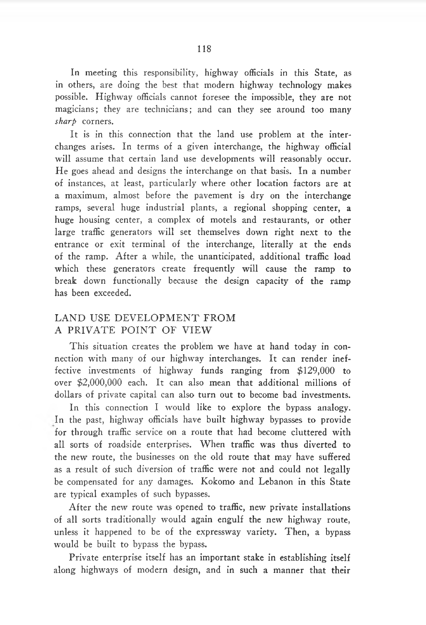In meeting this responsibility, highway officials in this State, as in others, are doing the best that modern highway technology makes possible. Highway officials cannot foresee the impossible, they are not magicians; they are technicians; and can they see around too many *sharp* corners.

It is in this connection that the land use problem at the interchanges arises. In terms of a given interchange, the highway official will assume that certain land use developments will reasonably occur. He goes ahead and designs the interchange on that basis. In a number of instances, at least, particularly where other location factors are at a maximum, almost before the pavement is dry on the interchange ramps, several huge industrial plants, a regional shopping center, a huge housing center, a complex of motels and restaurants, or other large traffic generators will set themselves down right next to the entrance or exit terminal of the interchange, literally at the ends of the ramp. After a while, the unanticipated, additional traffic load which these generators create frequently will cause the ramp to break down functionally because the design capacity of the ramp has been exceeded.

## LAND USE DEVELOPMENT FROM A PRIVATE POINT OF VIEW

This situation creates the problem we have at hand today in connection with many of our highway interchanges. It can render ineffective investments of highway funds ranging from \$129,000 to over \$2,000,000 each. It can also mean that additional millions of dollars of private capital can also turn out to become bad investments.

In this connection I would like to explore the bypass analogy. In the past, highway officials have built highway bypasses to provide for through traffic service on a route that had become cluttered with all sorts of roadside enterprises. When traffic was thus diverted to the new route, the businesses on the old route that may have suffered as a result of such diversion of traffic were not and could not legally be compensated for any damages. Kokomo and Lebanon in this State are typical examples of such bypasses.

After the new route was opened to traffic, new private installations of all sorts traditionally would again engulf the new highway route, unless it happened to be of the expressway variety. Then, a bypass would be built to bypass the bypass.

Private enterprise itself has an important stake in establishing itself along highways of modern design, and in such a manner that their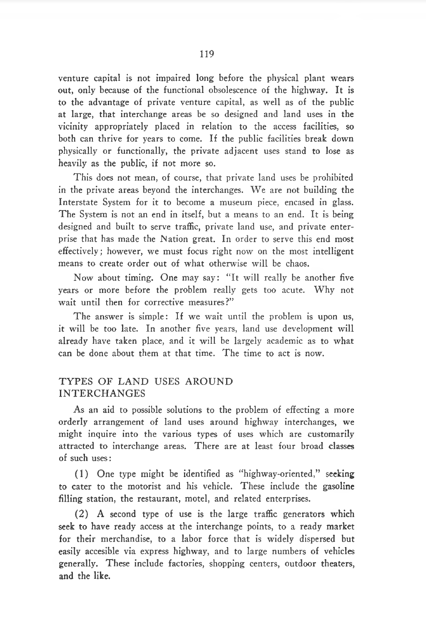venture capital is not impaired long before the physical plant wears out, only because of the functional obsolescence of the highway. It is to the advantage of private venture capital, as well as of the public at large, that interchange areas be so designed and land uses in the vicinity appropriately placed in relation to the access facilities, so both can thrive for years to come. If the public facilities break down physically or functionally, the private adjacent uses stand to lose as heavily as the public, if not more so.

This does not mean, of course, that private land uses be prohibited in the private areas beyond the interchanges. We are not building the Interstate System for it to become a museum piece, encased in glass. The System is not an end in itself, but a means to an end. It is being designed and built to serve traffic, private land use, and private enterprise that has made the Nation great. In order to serve this end most effectively; however, we must focus right now on the most intelligent means to create order out of what otherwise will be chaos.

Now about timing. One may say: "It will really be another five years or more before the problem really gets too acute. Why not wait until then for corrective measures ?"

The answer is simple: If we wait until the problem is upon us, it will be too late. In another five years, land use development will already have taken place, and it will be largely academic as to what can be done about them at that time. The time to act is now.

## TYPES OF LAND USES AROUND IN TERC H A N G ES

As an aid to possible solutions to the problem of effecting a more orderly arrangement of land uses around highway interchanges, we might inquire into the various types of uses which are customarily attracted to interchange areas. There are at least four broad classes of such uses:

(1) One type might be identified as "highway-oriented," seeking to cater to the motorist and his vehicle. These include the gasoline filling station, the restaurant, motel, and related enterprises.

(2) A second type of use is the large traffic generators which seek to have ready access at the interchange points, to a ready market for their merchandise, to a labor force that is widely dispersed but easily accesible via express highway, and to large numbers of vehicles generally. These include factories, shopping centers, outdoor theaters, and the like.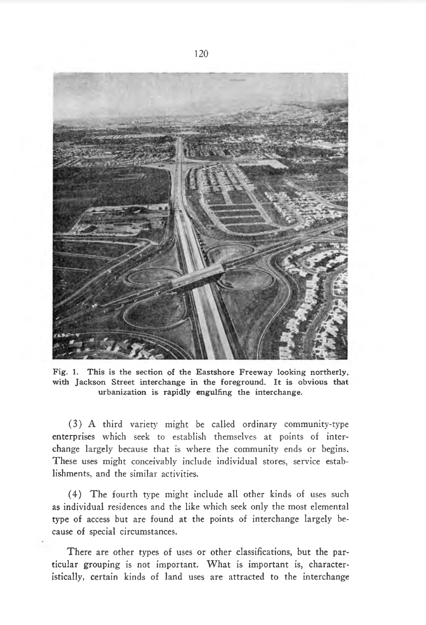

**Fig. 1. This is the section of the Eastshore Freeway looking northerly, with Jackson Street interchange in the foreground. It is obvious that urbanization is rapidly engulfing the interchange.**

(3) A third variety might be called ordinary community-type enterprises which seek to establish themselves at points of interchange largely because that is where the community ends or begins. These uses might conceivably include individual stores, service establishments, and the similar activities.

(4) The fourth type might include all other kinds of uses such as individual residences and the like which seek only the most elemental type of access but are found at the points of interchange largely because of special circumstances.

There are other types of uses or other classifications, but the particular grouping is not important. What is important is, characteristically, certain kinds of land uses are attracted to the interchange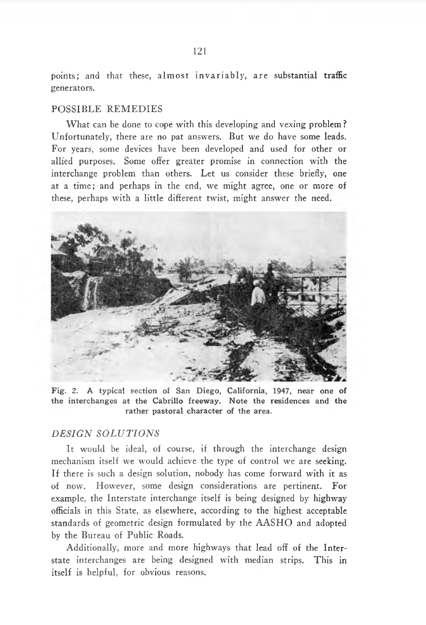points; and that these, almost invariably, are substantial traffic generators.

#### POSSIBLE REMEDIES

What can be done to cope with this developing and vexing problem? Unfortunately, there are no pat answers. But we do have some leads. For years, some devices have been developed and used for other or allied purposes. Some offer greater promise in connection with the interchange problem than others. Let us consider these briefly, one at a time; and perhaps in the end, we might agree, one or more of these, perhaps with a little different twist, might answer the need.



**Fig. 2. A typical section of San Diego, California, 1947, near one of the interchanges at the Cabrillo freeway. Note the residences and the rather pastoral character of the area.**

#### *DESIGN SOLUTIONS*

It would be ideal, of course, if through the interchange design mechanism itself we would achieve the type of control we are seeking. If there is such a design solution, nobody has come forward with it as of now. However, some design considerations are pertinent. For example, the Interstate interchange itself is being designed by highway officials in this State, as elsewhere, according to the highest acceptable standards of geometric design formulated by the AASHO and adopted by the Bureau of Public Roads.

Additionally, more and more highways that lead off of the Interstate interchanges are being designed with median strips. This in itself is helpful, for obvious reasons.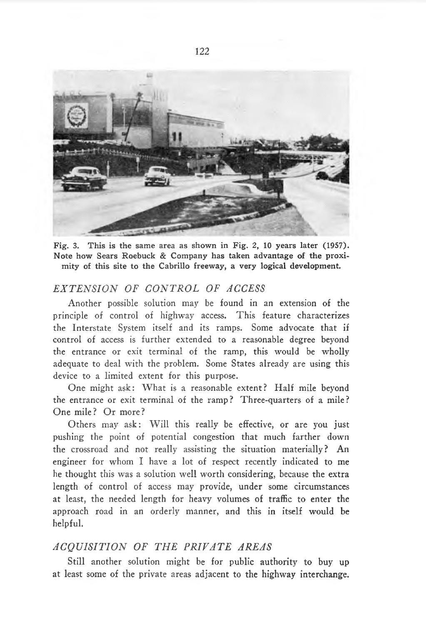

**Fig. 3. This is the same area as shown in Fig. 2, 10 years later (1957). Note how Sears Roebuck & Company has taken advantage of the proximity of this site to the Cabrillo freeway, a very logical development.**

#### EXTENSION OF CONTROL OF ACCESS

Another possible solution may be found in an extension of the principle of control of highway access. This feature characterizes the Interstate System itself and its ramps. Some advocate that if control of access is further extended to a reasonable degree beyond the entrance or exit terminal of the ramp, this would be wholly adequate to deal with the problem. Some States already are using this device to a limited extent for this purpose.

One might ask: What is a reasonable extent? Half mile beyond the entrance or exit terminal of the ramp? Three-quarters of a mile? One mile? Or more?

Others may ask: Will this really be effective, or are you just pushing the point of potential congestion that much farther down the crossroad and not really assisting the situation materially? An engineer for whom I have a lot of respect recently indicated to me he thought this was a solution well worth considering, because the extra length of control of access may provide, under some circumstances at least, the needed length for heavy volumes of traffic to enter the approach road in an orderly manner, and this in itself would be helpful.

# *A C Q U I S I T I O N O F T H E P R I V A T E A R E A S*

Still another solution might be for public authority to buy up at least some of the private areas adjacent to the highway interchange.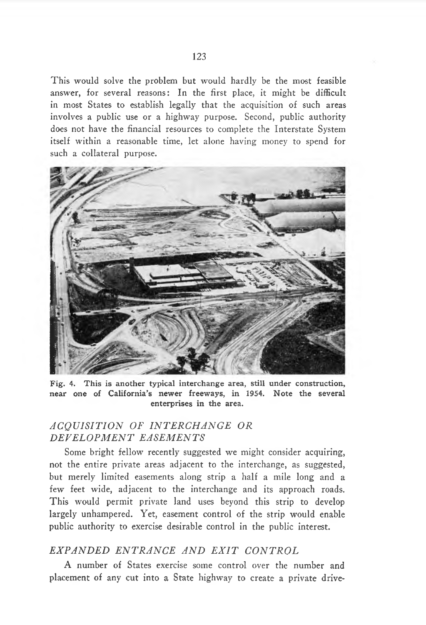This would solve the problem but would hardly be the most feasible answer, for several reasons: In the first place, it might be difficult in most States to establish legally that the acquisition of such areas involves a public use or a highway purpose. Second, public authority does not have the financial resources to complete the Interstate System itself within a reasonable time, let alone having money to spend for such a collateral purpose.



**Fig. 4. This is another typical interchange area, still under construction, near one of California's newer freeways, in 1954. Note the several enterprises in the area.**

#### *A C Q U I S I T I O N O F I N T E R C H A N G E O R D E V E L O P M E N T E A S E M E N T S*

Some bright fellow recently suggested we might consider acquiring, not the entire private areas adjacent to the interchange, as suggested, but merely limited easements along strip a half a mile long and a few feet wide, adjacent to the interchange and its approach roads. This would permit private land uses beyond this strip to develop largely unhampered. Yet, easement control of the strip would enable public authority to exercise desirable control in the public interest.

## *E X P A N D E D E N T R A N C E A N D E X I T C O N T R O L*

A number of States exercise some control over the number and placement of any cut into a State highway to create a private drive-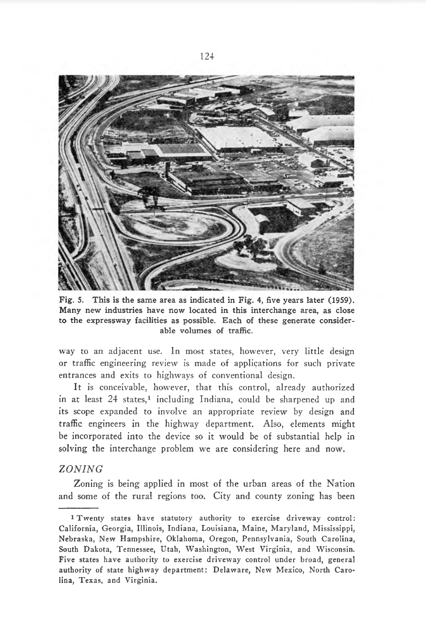

**Fig. 5. This is the same area as indicated in Fig. 4, five years later (1959). Many new industries have now located in this interchange area, as close to the expressway facilities as possible. Each of these generate considerable volumes of traffic.**

way to an adjacent use. In most states, however, very little design or traffic engineering review is made of applications for such private entrances and exits to highways of conventional design.

It is conceivable, however, that this control, already authorized in at least 24 states,<sup>1</sup> including Indiana, could be sharpened up and its scope expanded to involve an appropriate review by design and traffic engineers in the highway department. Also, elements might be incorporated into the device so it would be of substantial help in solving the interchange problem we are considering here and now.

#### *Z O N I N G*

Zoning is being applied in most of the urban areas of the Nation and some of the rural regions too. City and county zoning has been

**<sup>1</sup> Twenty states have statutory authority to exercise driveway control: California, Georgia, Illinois, Indiana, Louisiana, Maine, Maryland, Mississippi, Nebraska, New Hampshire, Oklahoma, Oregon, Pennsylvania, South Carolina, South Dakota, Tennessee, Utah, Washington, West Virginia, and Wisconsin. Five states have authority to exercise driveway control under broad, general authority of state highway department: Delaware, New Mexico, North Carolina, Texas, and Virginia.**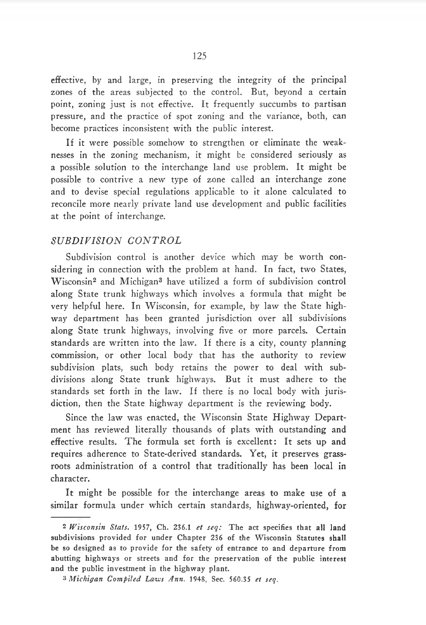effective, by and large, in preserving the integrity of the principal zones of the areas subjected to the control. But, beyond a certain point, zoning just is not effective. It frequently succumbs to partisan pressure, and the practice of spot zoning and the variance, both, can become practices inconsistent with the public interest.

If it were possible somehow to strengthen or eliminate the weaknesses in the zoning mechanism, it might be considered seriously as a possible solution to the interchange land use problem. It might be possible to contrive a new type of zone called an interchange zone and to devise special regulations applicable to it alone calculated to reconcile more nearly private land use development and public facilities at the point of interchange.

#### *S U B D I V I S I O N C O N T R O L*

Subdivision control is another device which may be worth considering in connection with the problem at hand. In fact, two States, Wisconsin2 and Michigan3 have utilized a form of subdivision control along State trunk highways which involves a formula that might be very helpful here. In Wisconsin, for example, by law the State highway department has been granted jurisdiction over all subdivisions along State trunk highways, involving five or more parcels. Certain standards are written into the law. If there is a city, county planning commission, or other local body that has the authority to review subdivision plats, such body retains the power to deal with subdivisions along State trunk highways. But it must adhere to the standards set forth in the law. If there is no local body with jurisdiction, then the State highway department is the reviewing body.

Since the law was enacted, the Wisconsin State Highway Department has reviewed literally thousands of plats with outstanding and effective results. The formula set forth is excellent: It sets up and requires adherence to State-derived standards. Yet, it preserves grassroots administration of a control that traditionally has been local in character.

It might be possible for the interchange areas to make use of a similar formula under which certain standards, highway-oriented, for

**<sup>2</sup>***Wisconsin Stats.* **1957, Ch. 236.1** *et seq:* **The act specifies that all land subdivisions provided for under Chapter 236 of the Wisconsin Statutes shall be so designed as to provide for the safety of entrance to and departure from abutting highways or streets and for the preservation of the public interest and the public investment in the highway plant.**

 $3$  *Michigan Compiled Laws Ann.* 1948, Sec. 560.35 *et seq.*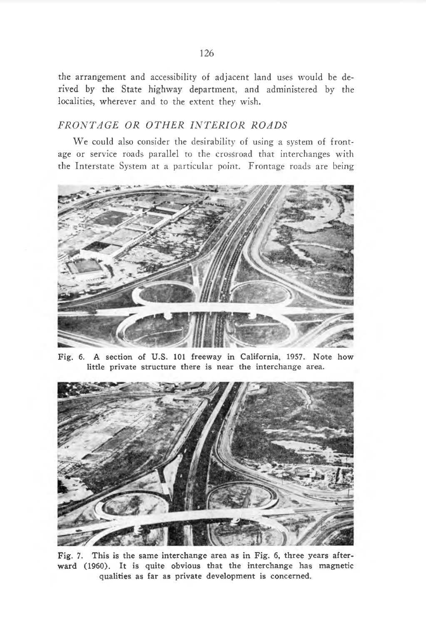the arrangement and accessibility of adjacent land uses would be derived by the State highway department, and administered by the localities, wherever and to the extent they wish.

## FRONTAGE OR OTHER INTERIOR ROADS

We could also consider the desirability of using a system of frontage or service roads parallel to the crossroad that interchanges with the Interstate System at a particular point. Frontage roads are being



**Fig. 6. A section of U.S. 101 freeway in California, 1957. Note how little private structure there is near the interchange area.**



**Fig. 7. This is the same interchange area as in Fig. 6, three years afterward (1960). It is quite obvious that the interchange has magnetic qualities as far as private development is concerned.**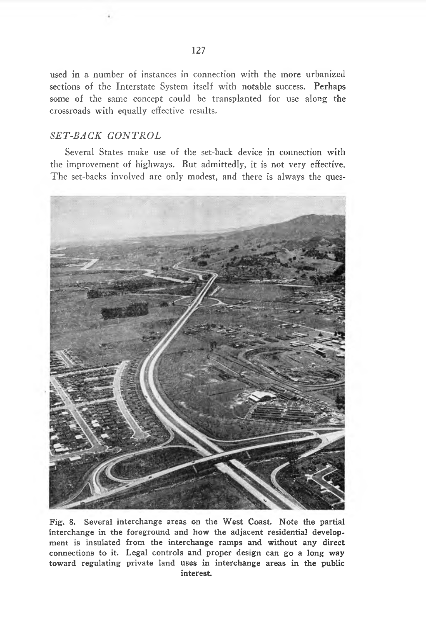used in a number of instances in connection with the more urbanized sections of the Interstate System itself with notable success. Perhaps some of the same concept could be transplanted for use along the crossroads with equally effective results.

## $SET-BACK$  *CONTROL*

Several States make use of the set-back device in connection with the improvement of highways. But admittedly, it is not very effective. The set-backs involved are only modest, and there is always the ques-



**Fig. 8. Several interchange areas on the West Coast. Note the partial interchange in the foreground and how the adjacent residential development is insulated from the interchange ramps and without any direct connections to it. Legal controls and proper design can go a long way toward regulating private land uses in interchange areas in the public interest.**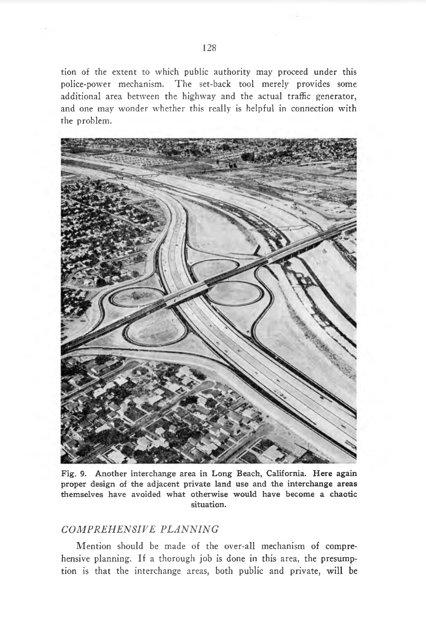tion of the extent to which public authority may proceed under this police-power mechanism. The set-back tool merely provides some additional area between the highway and the actual traffic generator, and one may wonder whether this really is helpful in connection with the problem.



**Fig. 9. Another interchange area in Long Beach, California. Here again proper design of the adjacent private land use and the interchange areas themselves have avoided what otherwise would have become a chaotic situation.**

## *C O M P R E H E N S I V E P L A N N I N G*

Mention should be made of the over-all mechanism of comprehensive planning. If a thorough job is done in this area, the presumption is that the interchange areas, both public and private, will be